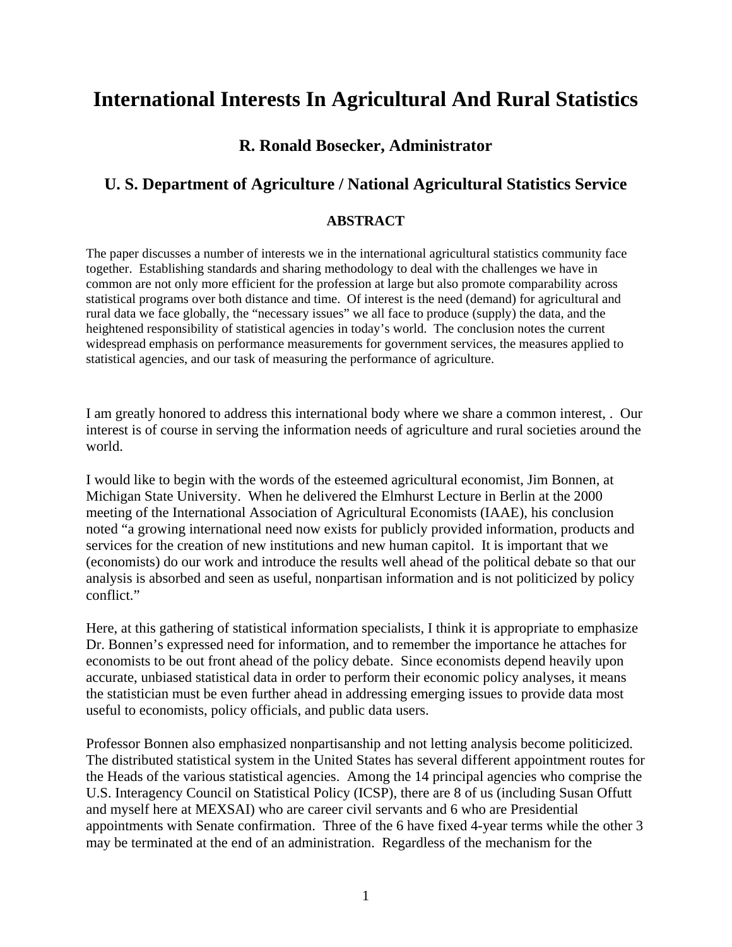## **International Interests In Agricultural And Rural Statistics**

## **R. Ronald Bosecker, Administrator**

## **U. S. Department of Agriculture / National Agricultural Statistics Service**

## **ABSTRACT**

The paper discusses a number of interests we in the international agricultural statistics community face together. Establishing standards and sharing methodology to deal with the challenges we have in common are not only more efficient for the profession at large but also promote comparability across statistical programs over both distance and time. Of interest is the need (demand) for agricultural and rural data we face globally, the "necessary issues" we all face to produce (supply) the data, and the heightened responsibility of statistical agencies in today's world. The conclusion notes the current widespread emphasis on performance measurements for government services, the measures applied to statistical agencies, and our task of measuring the performance of agriculture.

I am greatly honored to address this international body where we share a common interest, . Our interest is of course in serving the information needs of agriculture and rural societies around the world.

I would like to begin with the words of the esteemed agricultural economist, Jim Bonnen, at Michigan State University. When he delivered the Elmhurst Lecture in Berlin at the 2000 meeting of the International Association of Agricultural Economists (IAAE), his conclusion noted "a growing international need now exists for publicly provided information, products and services for the creation of new institutions and new human capitol. It is important that we (economists) do our work and introduce the results well ahead of the political debate so that our analysis is absorbed and seen as useful, nonpartisan information and is not politicized by policy conflict."

Here, at this gathering of statistical information specialists, I think it is appropriate to emphasize Dr. Bonnen's expressed need for information, and to remember the importance he attaches for economists to be out front ahead of the policy debate. Since economists depend heavily upon accurate, unbiased statistical data in order to perform their economic policy analyses, it means the statistician must be even further ahead in addressing emerging issues to provide data most useful to economists, policy officials, and public data users.

Professor Bonnen also emphasized nonpartisanship and not letting analysis become politicized. The distributed statistical system in the United States has several different appointment routes for the Heads of the various statistical agencies. Among the 14 principal agencies who comprise the U.S. Interagency Council on Statistical Policy (ICSP), there are 8 of us (including Susan Offutt and myself here at MEXSAI) who are career civil servants and 6 who are Presidential appointments with Senate confirmation. Three of the 6 have fixed 4-year terms while the other 3 may be terminated at the end of an administration. Regardless of the mechanism for the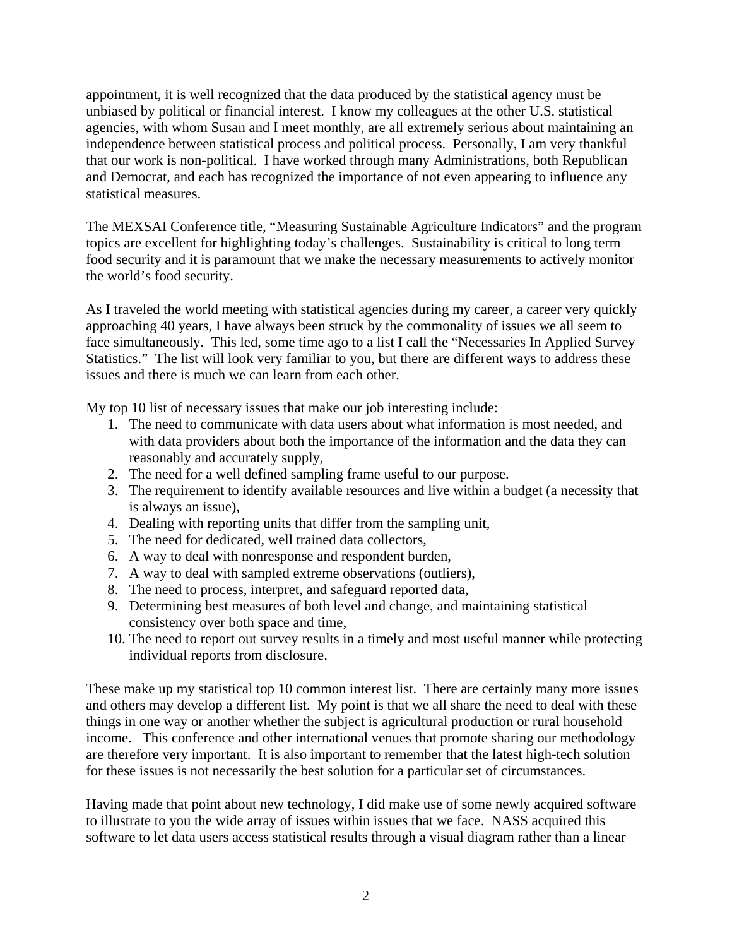appointment, it is well recognized that the data produced by the statistical agency must be unbiased by political or financial interest. I know my colleagues at the other U.S. statistical agencies, with whom Susan and I meet monthly, are all extremely serious about maintaining an independence between statistical process and political process. Personally, I am very thankful that our work is non-political. I have worked through many Administrations, both Republican and Democrat, and each has recognized the importance of not even appearing to influence any statistical measures.

The MEXSAI Conference title, "Measuring Sustainable Agriculture Indicators" and the program topics are excellent for highlighting today's challenges. Sustainability is critical to long term food security and it is paramount that we make the necessary measurements to actively monitor the world's food security.

As I traveled the world meeting with statistical agencies during my career, a career very quickly approaching 40 years, I have always been struck by the commonality of issues we all seem to face simultaneously. This led, some time ago to a list I call the "Necessaries In Applied Survey Statistics." The list will look very familiar to you, but there are different ways to address these issues and there is much we can learn from each other.

My top 10 list of necessary issues that make our job interesting include:

- 1. The need to communicate with data users about what information is most needed, and with data providers about both the importance of the information and the data they can reasonably and accurately supply,
- 2. The need for a well defined sampling frame useful to our purpose.
- 3. The requirement to identify available resources and live within a budget (a necessity that is always an issue),
- 4. Dealing with reporting units that differ from the sampling unit,
- 5. The need for dedicated, well trained data collectors,
- 6. A way to deal with nonresponse and respondent burden,
- 7. A way to deal with sampled extreme observations (outliers),
- 8. The need to process, interpret, and safeguard reported data,
- 9. Determining best measures of both level and change, and maintaining statistical consistency over both space and time,
- 10. The need to report out survey results in a timely and most useful manner while protecting individual reports from disclosure.

These make up my statistical top 10 common interest list. There are certainly many more issues and others may develop a different list. My point is that we all share the need to deal with these things in one way or another whether the subject is agricultural production or rural household income. This conference and other international venues that promote sharing our methodology are therefore very important. It is also important to remember that the latest high-tech solution for these issues is not necessarily the best solution for a particular set of circumstances.

Having made that point about new technology, I did make use of some newly acquired software to illustrate to you the wide array of issues within issues that we face. NASS acquired this software to let data users access statistical results through a visual diagram rather than a linear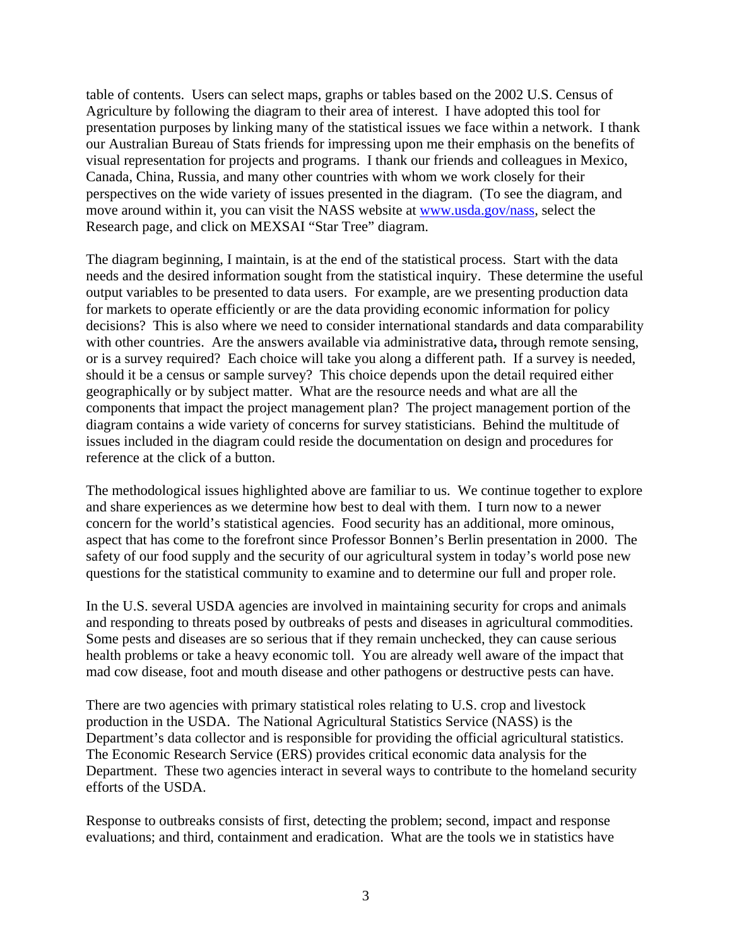table of contents. Users can select maps, graphs or tables based on the 2002 U.S. Census of Agriculture by following the diagram to their area of interest. I have adopted this tool for presentation purposes by linking many of the statistical issues we face within a network. I thank our Australian Bureau of Stats friends for impressing upon me their emphasis on the benefits of visual representation for projects and programs. I thank our friends and colleagues in Mexico, Canada, China, Russia, and many other countries with whom we work closely for their perspectives on the wide variety of issues presented in the diagram. (To see the diagram, and move around within it, you can visit the NASS website at www.usda.gov/nass, select the Research page, and click on MEXSAI "Star Tree" diagram.

The diagram beginning, I maintain, is at the end of the statistical process. Start with the data needs and the desired information sought from the statistical inquiry. These determine the useful output variables to be presented to data users. For example, are we presenting production data for markets to operate efficiently or are the data providing economic information for policy decisions? This is also where we need to consider international standards and data comparability with other countries. Are the answers available via administrative data**,** through remote sensing, or is a survey required? Each choice will take you along a different path. If a survey is needed, should it be a census or sample survey? This choice depends upon the detail required either geographically or by subject matter. What are the resource needs and what are all the components that impact the project management plan? The project management portion of the diagram contains a wide variety of concerns for survey statisticians. Behind the multitude of issues included in the diagram could reside the documentation on design and procedures for reference at the click of a button.

The methodological issues highlighted above are familiar to us. We continue together to explore and share experiences as we determine how best to deal with them. I turn now to a newer concern for the world's statistical agencies. Food security has an additional, more ominous, aspect that has come to the forefront since Professor Bonnen's Berlin presentation in 2000. The safety of our food supply and the security of our agricultural system in today's world pose new questions for the statistical community to examine and to determine our full and proper role.

In the U.S. several USDA agencies are involved in maintaining security for crops and animals and responding to threats posed by outbreaks of pests and diseases in agricultural commodities. Some pests and diseases are so serious that if they remain unchecked, they can cause serious health problems or take a heavy economic toll. You are already well aware of the impact that mad cow disease, foot and mouth disease and other pathogens or destructive pests can have.

There are two agencies with primary statistical roles relating to U.S. crop and livestock production in the USDA. The National Agricultural Statistics Service (NASS) is the Department's data collector and is responsible for providing the official agricultural statistics. The Economic Research Service (ERS) provides critical economic data analysis for the Department. These two agencies interact in several ways to contribute to the homeland security efforts of the USDA.

Response to outbreaks consists of first, detecting the problem; second, impact and response evaluations; and third, containment and eradication. What are the tools we in statistics have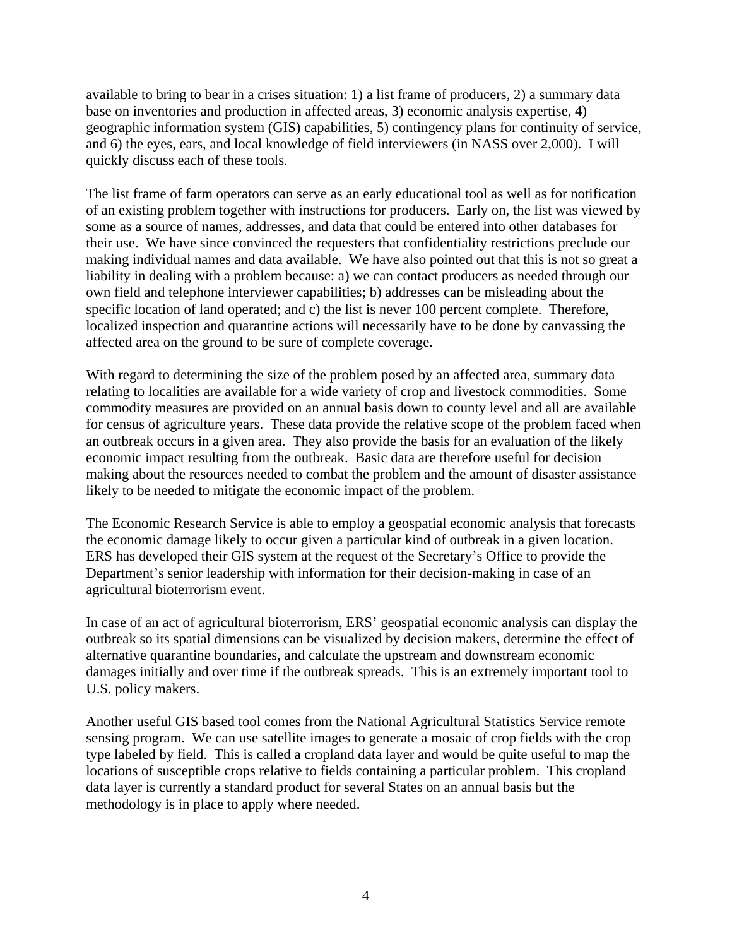available to bring to bear in a crises situation: 1) a list frame of producers, 2) a summary data base on inventories and production in affected areas, 3) economic analysis expertise, 4) geographic information system (GIS) capabilities, 5) contingency plans for continuity of service, and 6) the eyes, ears, and local knowledge of field interviewers (in NASS over 2,000). I will quickly discuss each of these tools.

The list frame of farm operators can serve as an early educational tool as well as for notification of an existing problem together with instructions for producers. Early on, the list was viewed by some as a source of names, addresses, and data that could be entered into other databases for their use. We have since convinced the requesters that confidentiality restrictions preclude our making individual names and data available. We have also pointed out that this is not so great a liability in dealing with a problem because: a) we can contact producers as needed through our own field and telephone interviewer capabilities; b) addresses can be misleading about the specific location of land operated; and c) the list is never 100 percent complete. Therefore, localized inspection and quarantine actions will necessarily have to be done by canvassing the affected area on the ground to be sure of complete coverage.

With regard to determining the size of the problem posed by an affected area, summary data relating to localities are available for a wide variety of crop and livestock commodities. Some commodity measures are provided on an annual basis down to county level and all are available for census of agriculture years. These data provide the relative scope of the problem faced when an outbreak occurs in a given area. They also provide the basis for an evaluation of the likely economic impact resulting from the outbreak. Basic data are therefore useful for decision making about the resources needed to combat the problem and the amount of disaster assistance likely to be needed to mitigate the economic impact of the problem.

The Economic Research Service is able to employ a geospatial economic analysis that forecasts the economic damage likely to occur given a particular kind of outbreak in a given location. ERS has developed their GIS system at the request of the Secretary's Office to provide the Department's senior leadership with information for their decision-making in case of an agricultural bioterrorism event.

In case of an act of agricultural bioterrorism, ERS' geospatial economic analysis can display the outbreak so its spatial dimensions can be visualized by decision makers, determine the effect of alternative quarantine boundaries, and calculate the upstream and downstream economic damages initially and over time if the outbreak spreads. This is an extremely important tool to U.S. policy makers.

Another useful GIS based tool comes from the National Agricultural Statistics Service remote sensing program. We can use satellite images to generate a mosaic of crop fields with the crop type labeled by field. This is called a cropland data layer and would be quite useful to map the locations of susceptible crops relative to fields containing a particular problem. This cropland data layer is currently a standard product for several States on an annual basis but the methodology is in place to apply where needed.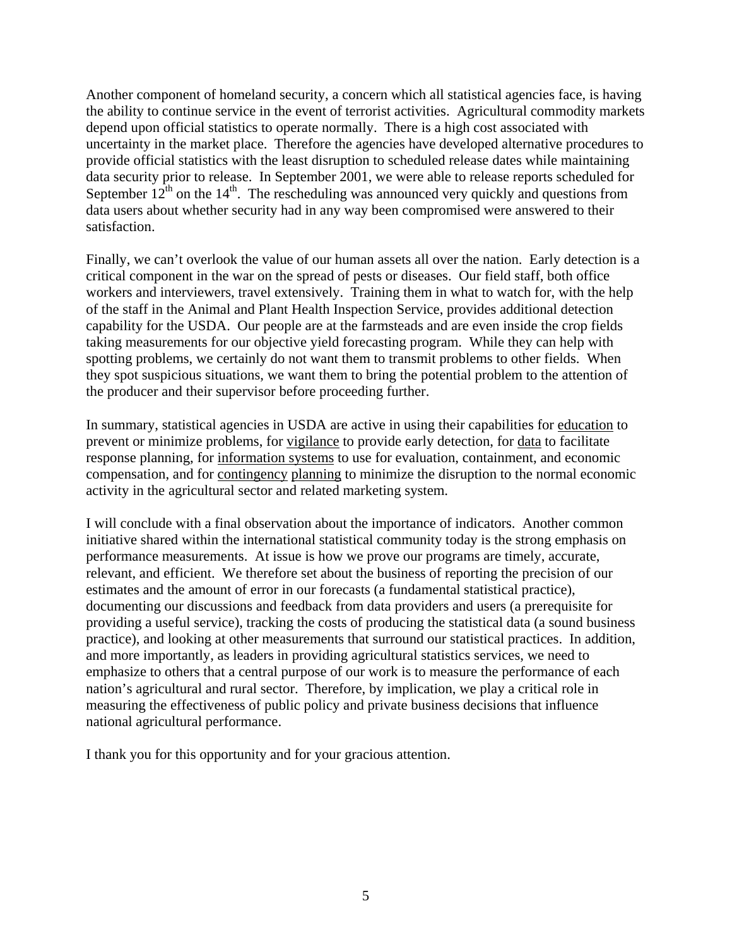Another component of homeland security, a concern which all statistical agencies face, is having the ability to continue service in the event of terrorist activities. Agricultural commodity markets depend upon official statistics to operate normally. There is a high cost associated with uncertainty in the market place. Therefore the agencies have developed alternative procedures to provide official statistics with the least disruption to scheduled release dates while maintaining data security prior to release. In September 2001, we were able to release reports scheduled for September  $12^{th}$  on the  $14^{th}$ . The rescheduling was announced very quickly and questions from data users about whether security had in any way been compromised were answered to their satisfaction.

Finally, we can't overlook the value of our human assets all over the nation. Early detection is a critical component in the war on the spread of pests or diseases. Our field staff, both office workers and interviewers, travel extensively. Training them in what to watch for, with the help of the staff in the Animal and Plant Health Inspection Service, provides additional detection capability for the USDA. Our people are at the farmsteads and are even inside the crop fields taking measurements for our objective yield forecasting program. While they can help with spotting problems, we certainly do not want them to transmit problems to other fields. When they spot suspicious situations, we want them to bring the potential problem to the attention of the producer and their supervisor before proceeding further.

In summary, statistical agencies in USDA are active in using their capabilities for education to prevent or minimize problems, for vigilance to provide early detection, for data to facilitate response planning, for information systems to use for evaluation, containment, and economic compensation, and for contingency planning to minimize the disruption to the normal economic activity in the agricultural sector and related marketing system.

I will conclude with a final observation about the importance of indicators. Another common initiative shared within the international statistical community today is the strong emphasis on performance measurements. At issue is how we prove our programs are timely, accurate, relevant, and efficient. We therefore set about the business of reporting the precision of our estimates and the amount of error in our forecasts (a fundamental statistical practice), documenting our discussions and feedback from data providers and users (a prerequisite for providing a useful service), tracking the costs of producing the statistical data (a sound business practice), and looking at other measurements that surround our statistical practices. In addition, and more importantly, as leaders in providing agricultural statistics services, we need to emphasize to others that a central purpose of our work is to measure the performance of each nation's agricultural and rural sector. Therefore, by implication, we play a critical role in measuring the effectiveness of public policy and private business decisions that influence national agricultural performance.

I thank you for this opportunity and for your gracious attention.